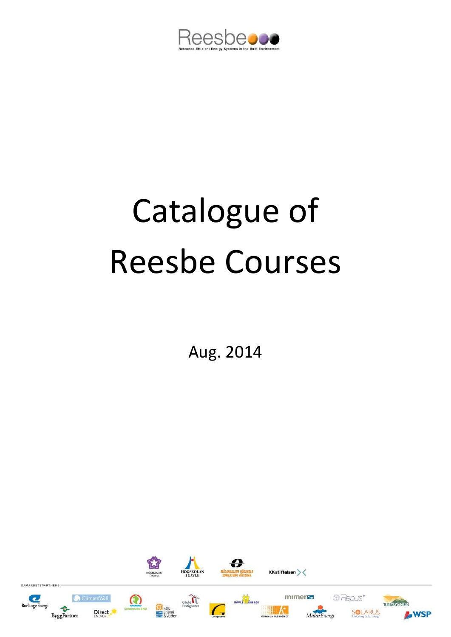

# Catalogue of Reesbe Courses

Aug. 2014

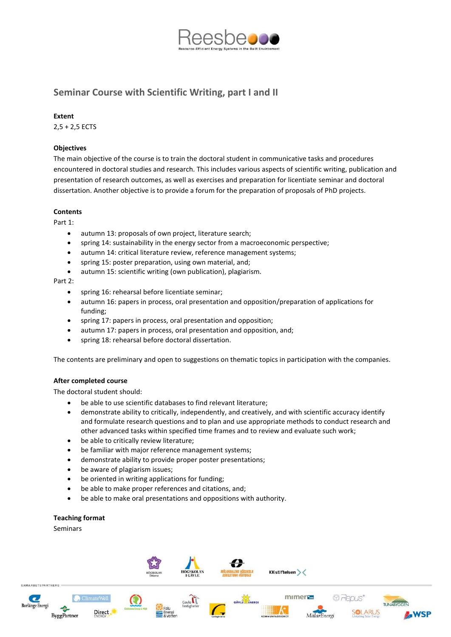

# **Seminar Course with Scientific Writing, part I and II**

### **Extent**

2,5 + 2,5 ECTS

# **Objectives**

The main objective of the course is to train the doctoral student in communicative tasks and procedures encountered in doctoral studies and research. This includes various aspects of scientific writing, publication and presentation of research outcomes, as well as exercises and preparation for licentiate seminar and doctoral dissertation. Another objective is to provide a forum for the preparation of proposals of PhD projects.

#### **Contents**

Part 1:

- autumn 13: proposals of own project, literature search;
- spring 14: sustainability in the energy sector from a macroeconomic perspective;
- autumn 14: critical literature review, reference management systems;
- spring 15: poster preparation, using own material, and;
- autumn 15: scientific writing (own publication), plagiarism.

#### Part 2:

- spring 16: rehearsal before licentiate seminar;
- autumn 16: papers in process, oral presentation and opposition/preparation of applications for funding;
- spring 17: papers in process, oral presentation and opposition;
- autumn 17: papers in process, oral presentation and opposition, and;
- spring 18: rehearsal before doctoral dissertation.

The contents are preliminary and open to suggestions on thematic topics in participation with the companies.

#### **After completed course**

The doctoral student should:

- be able to use scientific databases to find relevant literature;
- demonstrate ability to critically, independently, and creatively, and with scientific accuracy identify and formulate research questions and to plan and use appropriate methods to conduct research and other advanced tasks within specified time frames and to review and evaluate such work;
- be able to critically review literature;
- be familiar with major reference management systems;
- demonstrate ability to provide proper poster presentations;
- be aware of plagiarism issues;
- be oriented in writing applications for funding;
- be able to make proper references and citations, and;
- be able to make oral presentations and oppositions with authority.

# **Teaching format**

#### Seminars

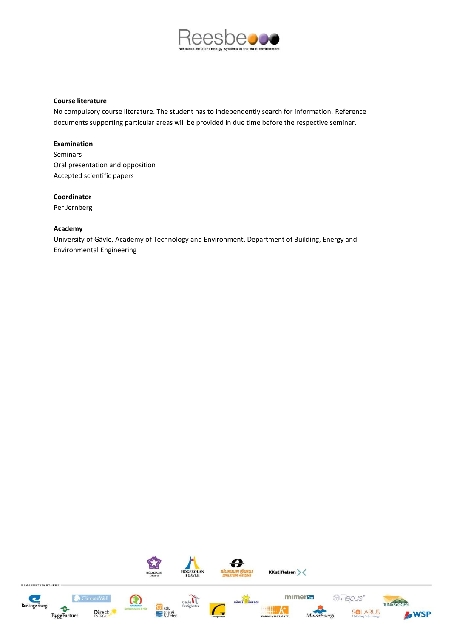

#### **Course literature**

No compulsory course literature. The student has to independently search for information. Reference documents supporting particular areas will be provided in due time before the respective seminar.

#### **Examination**

Seminars Oral presentation and opposition Accepted scientific papers

# **Coordinator**

Per Jernberg

#### **Academy**

University of Gävle, Academy of Technology and Environment, Department of Building, Energy and Environmental Engineering

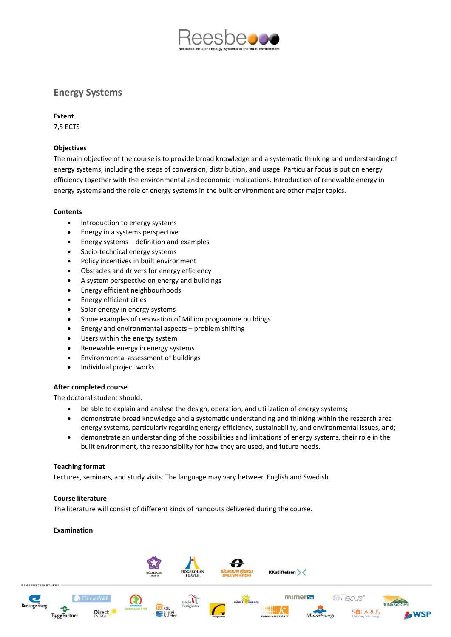

# **Energy Systems**

### **Extent**

7,5 ECTS

# **Objectives**

The main objective of the course is to provide broad knowledge and a systematic thinking and understanding of energy systems, including the steps of conversion, distribution, and usage. Particular focus is put on energy efficiency together with the environmental and economic implications. Introduction of renewable energy in energy systems and the role of energy systems in the built environment are other major topics.

# **Contents**

- Introduction to energy systems
- Energy in a systems perspective
- Energy systems definition and examples
- Socio-technical energy systems
- Policy incentives in built environment
- Obstacles and drivers for energy efficiency
- A system perspective on energy and buildings
- Energy efficient neighbourhoods
- Energy efficient cities
- Solar energy in energy systems
- Some examples of renovation of Million programme buildings
- Energy and environmental aspects problem shifting
- Users within the energy system
- Renewable energy in energy systems
- Environmental assessment of buildings
- Individual project works

#### **After completed course**

The doctoral student should:

- be able to explain and analyse the design, operation, and utilization of energy systems;
- demonstrate broad knowledge and a systematic understanding and thinking within the research area energy systems, particularly regarding energy efficiency, sustainability, and environmental issues, and;
- demonstrate an understanding of the possibilities and limitations of energy systems, their role in the built environment, the responsibility for how they are used, and future needs.

#### **Teaching format**

Lectures, seminars, and study visits. The language may vary between English and Swedish.

#### **Course literature**

The literature will consist of different kinds of handouts delivered during the course.

# **Examination**

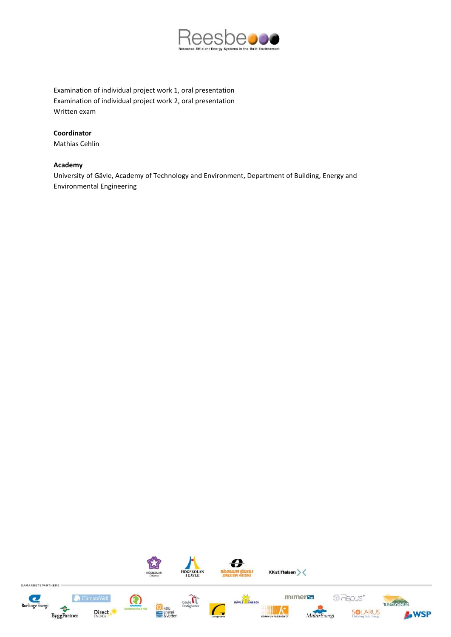

Examination of individual project work 1, oral presentation Examination of individual project work 2, oral presentation Written exam

# **Coordinator**

Mathias Cehlin

#### **Academy**

University of Gävle, Academy of Technology and Environment, Department of Building, Energy and Environmental Engineering

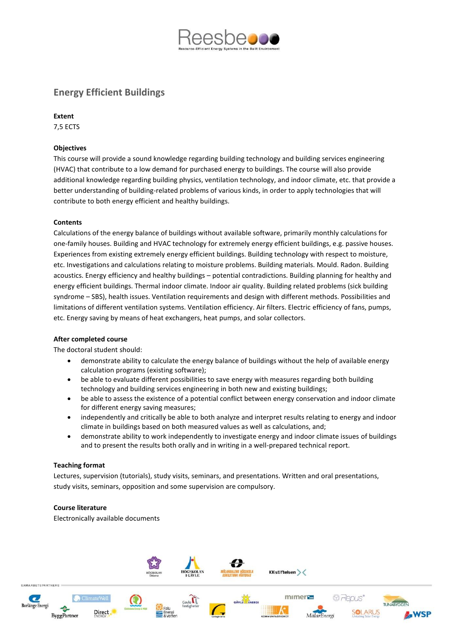

# **Energy Efficient Buildings**

# **Extent**

7,5 ECTS

# **Objectives**

This course will provide a sound knowledge regarding building technology and building services engineering (HVAC) that contribute to a low demand for purchased energy to buildings. The course will also provide additional knowledge regarding building physics, ventilation technology, and indoor climate, etc. that provide a better understanding of building-related problems of various kinds, in order to apply technologies that will contribute to both energy efficient and healthy buildings.

# **Contents**

Calculations of the energy balance of buildings without available software, primarily monthly calculations for one-family houses. Building and HVAC technology for extremely energy efficient buildings, e.g. passive houses. Experiences from existing extremely energy efficient buildings. Building technology with respect to moisture, etc. Investigations and calculations relating to moisture problems. Building materials. Mould. Radon. Building acoustics. Energy efficiency and healthy buildings – potential contradictions. Building planning for healthy and energy efficient buildings. Thermal indoor climate. Indoor air quality. Building related problems (sick building syndrome – SBS), health issues. Ventilation requirements and design with different methods. Possibilities and limitations of different ventilation systems. Ventilation efficiency. Air filters. Electric efficiency of fans, pumps, etc. Energy saving by means of heat exchangers, heat pumps, and solar collectors.

#### **After completed course**

The doctoral student should:

- demonstrate ability to calculate the energy balance of buildings without the help of available energy calculation programs (existing software);
- be able to evaluate different possibilities to save energy with measures regarding both building technology and building services engineering in both new and existing buildings;
- be able to assess the existence of a potential conflict between energy conservation and indoor climate for different energy saving measures;
- independently and critically be able to both analyze and interpret results relating to energy and indoor climate in buildings based on both measured values as well as calculations, and;
- demonstrate ability to work independently to investigate energy and indoor climate issues of buildings and to present the results both orally and in writing in a well-prepared technical report.

#### **Teaching format**

Lectures, supervision (tutorials), study visits, seminars, and presentations. Written and oral presentations, study visits, seminars, opposition and some supervision are compulsory.

#### **Course literature**

Electronically available documents

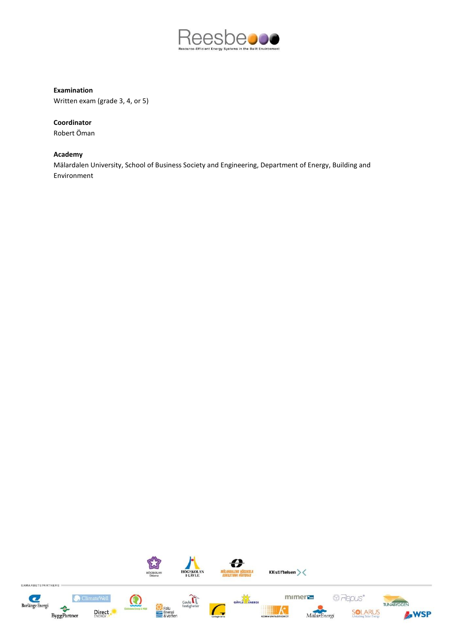

# **Examination**

Written exam (grade 3, 4, or 5)

# **Coordinator**

Robert Öman

# **Academy**

Mälardalen University, School of Business Society and Engineering, Department of Energy, Building and Environment

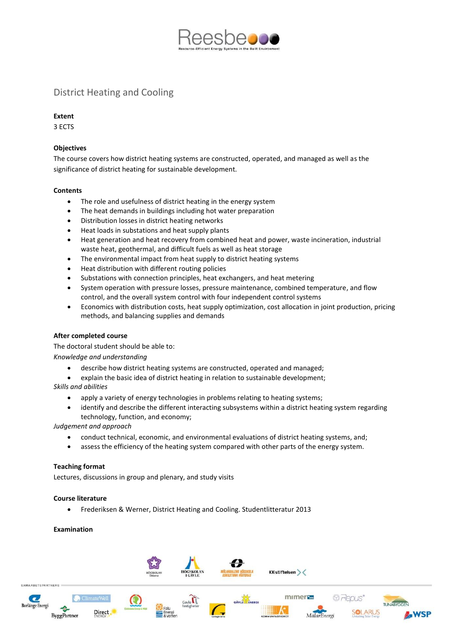

# District Heating and Cooling

# **Extent**

3 ECTS

# **Objectives**

The course covers how district heating systems are constructed, operated, and managed as well as the significance of district heating for sustainable development.

# **Contents**

- The role and usefulness of district heating in the energy system
- The heat demands in buildings including hot water preparation
- Distribution losses in district heating networks
- Heat loads in substations and heat supply plants
- Heat generation and heat recovery from combined heat and power, waste incineration, industrial waste heat, geothermal, and difficult fuels as well as heat storage
- The environmental impact from heat supply to district heating systems
- Heat distribution with different routing policies
- Substations with connection principles, heat exchangers, and heat metering
- System operation with pressure losses, pressure maintenance, combined temperature, and flow control, and the overall system control with four independent control systems
- Economics with distribution costs, heat supply optimization, cost allocation in joint production, pricing methods, and balancing supplies and demands

#### **After completed course**

The doctoral student should be able to:

*Knowledge and understanding*

- describe how district heating systems are constructed, operated and managed;
- explain the basic idea of district heating in relation to sustainable development; *Skills and abilities*
- - apply a variety of energy technologies in problems relating to heating systems;
	- identify and describe the different interacting subsystems within a district heating system regarding technology, function, and economy;

*Judgement and approach*

- conduct technical, economic, and environmental evaluations of district heating systems, and;
- assess the efficiency of the heating system compared with other parts of the energy system.

#### **Teaching format**

Lectures, discussions in group and plenary, and study visits

#### **Course literature**

Frederiksen & Werner, District Heating and Cooling. Studentlitteratur 2013

#### **Examination**

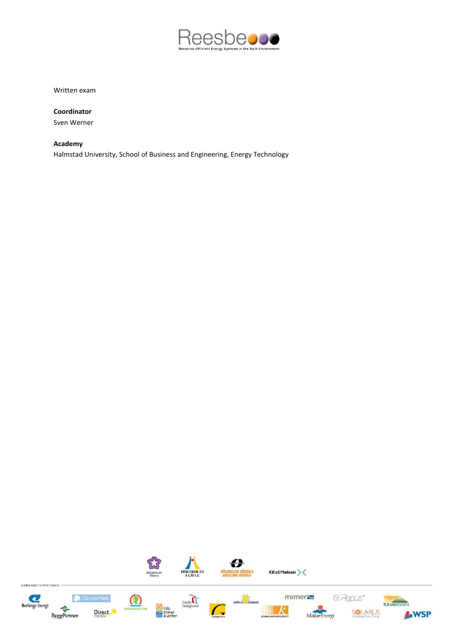

Written exam

**Coordinator** Sven Werner

# **Academy**

Halmstad University, School of Business and Engineering, Energy Technology

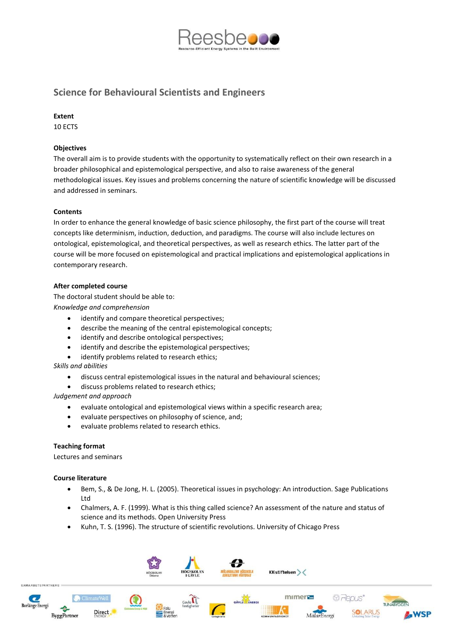

# **Science for Behavioural Scientists and Engineers**

### **Extent**

10 ECTS

# **Objectives**

The overall aim is to provide students with the opportunity to systematically reflect on their own research in a broader philosophical and epistemological perspective, and also to raise awareness of the general methodological issues. Key issues and problems concerning the nature of scientific knowledge will be discussed and addressed in seminars.

# **Contents**

In order to enhance the general knowledge of basic science philosophy, the first part of the course will treat concepts like determinism, induction, deduction, and paradigms. The course will also include lectures on ontological, epistemological, and theoretical perspectives, as well as research ethics. The latter part of the course will be more focused on epistemological and practical implications and epistemological applications in contemporary research.

# **After completed course**

The doctoral student should be able to: *Knowledge and comprehension*

- identify and compare theoretical perspectives;
- describe the meaning of the central epistemological concepts;
- identify and describe ontological perspectives;
- identify and describe the epistemological perspectives;
- identify problems related to research ethics;

*Skills and abilities*

- discuss central epistemological issues in the natural and behavioural sciences;
- discuss problems related to research ethics;

#### *Judgement and approach*

- evaluate ontological and epistemological views within a specific research area;
- evaluate perspectives on philosophy of science, and;
- evaluate problems related to research ethics.

#### **Teaching format**

Lectures and seminars

#### **Course literature**

- **Bem, S., & De Jong, H. L. (2005). Theoretical issues in psychology: An introduction. Sage Publications** Ltd
- Chalmers, A. F. (1999). What is this thing called science? An assessment of the nature and status of science and its methods. Open University Press
- Kuhn, T. S. (1996). The structure of scientific revolutions. University of Chicago Press

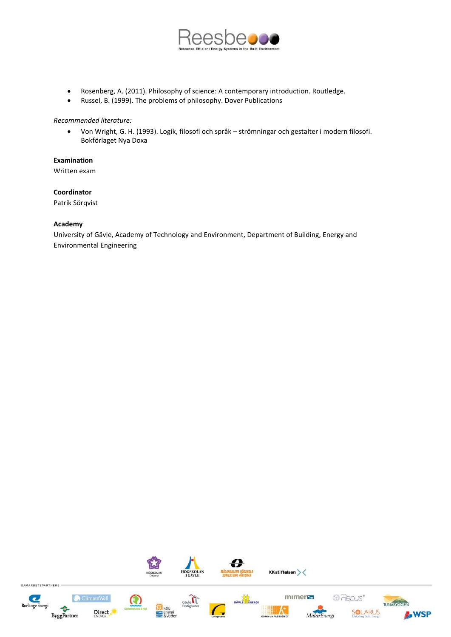

- Rosenberg, A. (2011). Philosophy of science: A contemporary introduction. Routledge.
- Russel, B. (1999). The problems of philosophy. Dover Publications

*Recommended literature:*

 Von Wright, G. H. (1993). Logik, filosofi och språk – strömningar och gestalter i modern filosofi. Bokförlaget Nya Doxa

**Examination**

Written exam

**Coordinator**

Patrik Sörqvist

#### **Academy**

University of Gävle, Academy of Technology and Environment, Department of Building, Energy and Environmental Engineering

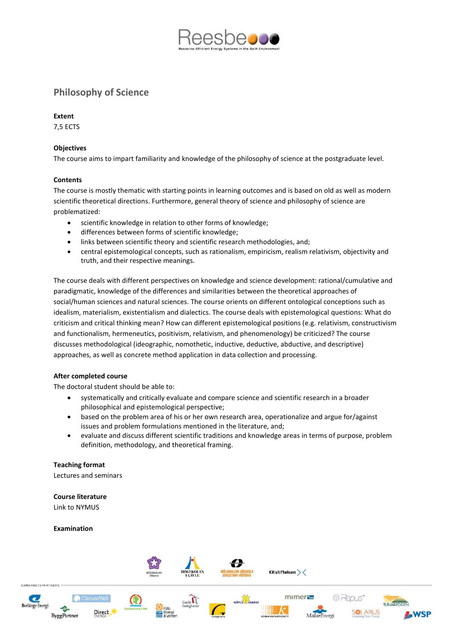

# **Philosophy of Science**

# **Extent**

7,5 ECTS

# **Objectives**

The course aims to impart familiarity and knowledge of the philosophy of science at the postgraduate level.

# **Contents**

The course is mostly thematic with starting points in learning outcomes and is based on old as well as modern scientific theoretical directions. Furthermore, general theory of science and philosophy of science are problematized:

- scientific knowledge in relation to other forms of knowledge;
- differences between forms of scientific knowledge;
- links between scientific theory and scientific research methodologies, and;
- central epistemological concepts, such as rationalism, empiricism, realism relativism, objectivity and truth, and their respective meanings.

The course deals with different perspectives on knowledge and science development: rational/cumulative and paradigmatic, knowledge of the differences and similarities between the theoretical approaches of social/human sciences and natural sciences. The course orients on different ontological conceptions such as idealism, materialism, existentialism and dialectics. The course deals with epistemological questions: What do criticism and critical thinking mean? How can different epistemological positions (e.g. relativism, constructivism and functionalism, hermeneutics, positivism, relativism, and phenomenology) be criticized? The course discusses methodological (ideographic, nomothetic, inductive, deductive, abductive, and descriptive) approaches, as well as concrete method application in data collection and processing.

#### **After completed course**

The doctoral student should be able to:

- systematically and critically evaluate and compare science and scientific research in a broader philosophical and epistemological perspective;
- based on the problem area of his or her own research area, operationalize and argue for/against issues and problem formulations mentioned in the literature, and;
- evaluate and discuss different scientific traditions and knowledge areas in terms of purpose, problem definition, methodology, and theoretical framing.

#### **Teaching format**

Lectures and seminars

**Course literature**

Link to NYMUS

#### **Examination**

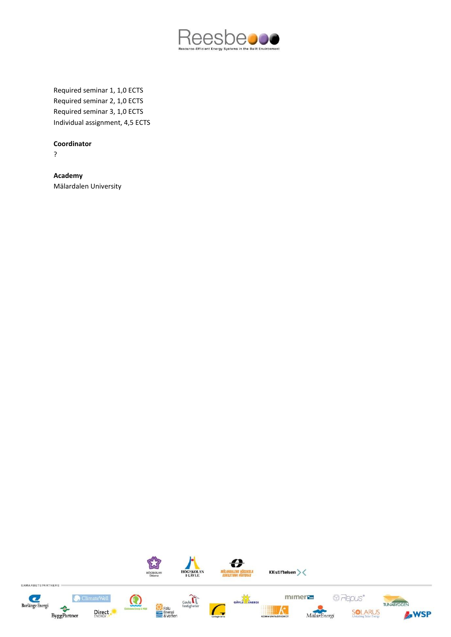

Required seminar 1, 1,0 ECTS Required seminar 2, 1,0 ECTS Required seminar 3, 1,0 ECTS Individual assignment, 4,5 ECTS

# **Coordinator**

?

**Academy** Mälardalen University

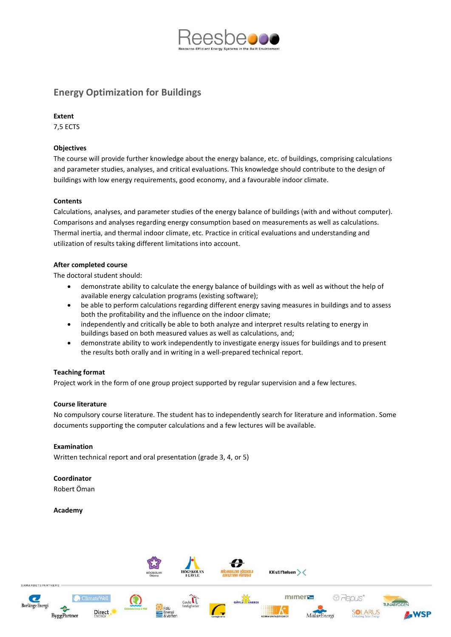

# **Energy Optimization for Buildings**

# **Extent**

7,5 ECTS

# **Objectives**

The course will provide further knowledge about the energy balance, etc. of buildings, comprising calculations and parameter studies, analyses, and critical evaluations. This knowledge should contribute to the design of buildings with low energy requirements, good economy, and a favourable indoor climate.

# **Contents**

Calculations, analyses, and parameter studies of the energy balance of buildings (with and without computer). Comparisons and analyses regarding energy consumption based on measurements as well as calculations. Thermal inertia, and thermal indoor climate, etc. Practice in critical evaluations and understanding and utilization of results taking different limitations into account.

# **After completed course**

The doctoral student should:

- demonstrate ability to calculate the energy balance of buildings with as well as without the help of available energy calculation programs (existing software);
- be able to perform calculations regarding different energy saving measures in buildings and to assess both the profitability and the influence on the indoor climate;
- independently and critically be able to both analyze and interpret results relating to energy in buildings based on both measured values as well as calculations, and;
- demonstrate ability to work independently to investigate energy issues for buildings and to present the results both orally and in writing in a well-prepared technical report.

#### **Teaching format**

Project work in the form of one group project supported by regular supervision and a few lectures.

#### **Course literature**

No compulsory course literature. The student has to independently search for literature and information. Some documents supporting the computer calculations and a few lectures will be available.

#### **Examination**

Written technical report and oral presentation (grade 3, 4, or 5)

# **Coordinator**

Robert Öman

#### **Academy**

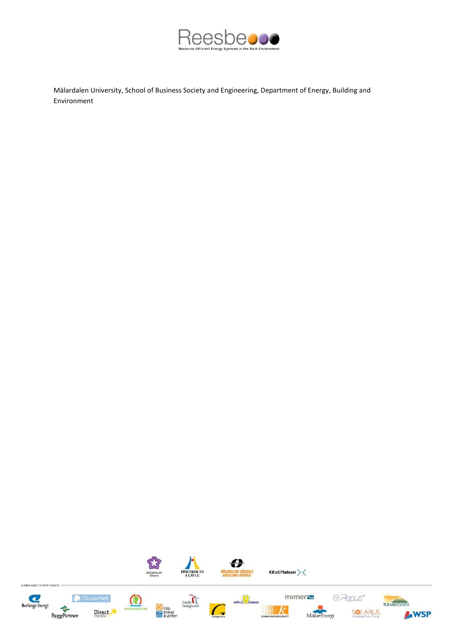

Mälardalen University, School of Business Society and Engineering, Department of Energy, Building and Environment

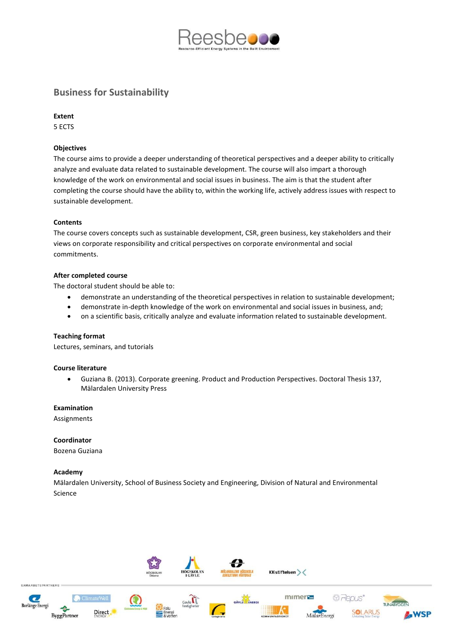

# **Business for Sustainability**

### **Extent**

5 ECTS

# **Objectives**

The course aims to provide a deeper understanding of theoretical perspectives and a deeper ability to critically analyze and evaluate data related to sustainable development. The course will also impart a thorough knowledge of the work on environmental and social issues in business. The aim is that the student after completing the course should have the ability to, within the working life, actively address issues with respect to sustainable development.

#### **Contents**

The course covers concepts such as sustainable development, CSR, green business, key stakeholders and their views on corporate responsibility and critical perspectives on corporate environmental and social commitments.

# **After completed course**

The doctoral student should be able to:

- demonstrate an understanding of the theoretical perspectives in relation to sustainable development;
- demonstrate in-depth knowledge of the work on environmental and social issues in business, and;
- on a scientific basis, critically analyze and evaluate information related to sustainable development.

#### **Teaching format**

Lectures, seminars, and tutorials

#### **Course literature**

 Guziana B. (2013). Corporate greening. Product and Production Perspectives. Doctoral Thesis 137, Mälardalen University Press

**Examination**

Assignments

**Coordinator** Bozena Guziana

#### **Academy**

Mälardalen University, School of Business Society and Engineering, Division of Natural and Environmental Science

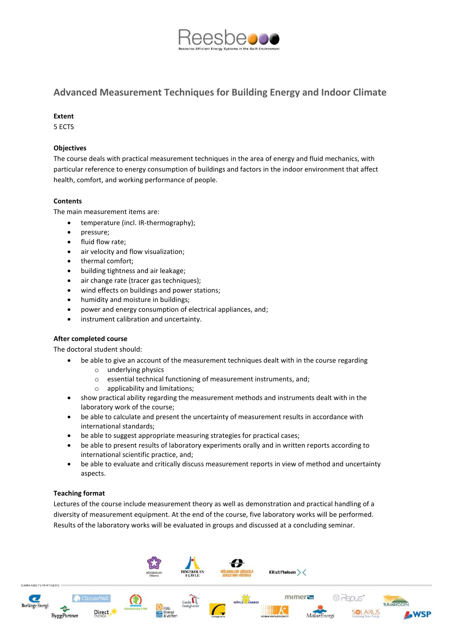

# **Advanced Measurement Techniques for Building Energy and Indoor Climate**

# **Extent**

5 ECTS

# **Objectives**

The course deals with practical measurement techniques in the area of energy and fluid mechanics, with particular reference to energy consumption of buildings and factors in the indoor environment that affect health, comfort, and working performance of people.

# **Contents**

The main measurement items are:

- temperature (incl. IR-thermography);
- pressure;
- fluid flow rate;
- air velocity and flow visualization;
- thermal comfort;
- building tightness and air leakage;
- air change rate (tracer gas techniques);
- wind effects on buildings and power stations;
- humidity and moisture in buildings;
- power and energy consumption of electrical appliances, and;
- instrument calibration and uncertainty.

#### **After completed course**

The doctoral student should:

- be able to give an account of the measurement techniques dealt with in the course regarding
	- o underlying physics
	- o essential technical functioning of measurement instruments, and;
	- o applicability and limitations;
- show practical ability regarding the measurement methods and instruments dealt with in the laboratory work of the course;
- be able to calculate and present the uncertainty of measurement results in accordance with international standards;
- be able to suggest appropriate measuring strategies for practical cases;
- be able to present results of laboratory experiments orally and in written reports according to international scientific practice, and;
- be able to evaluate and critically discuss measurement reports in view of method and uncertainty aspects.

# **Teaching format**

Lectures of the course include measurement theory as well as demonstration and practical handling of a diversity of measurement equipment. At the end of the course, five laboratory works will be performed. Results of the laboratory works will be evaluated in groups and discussed at a concluding seminar.

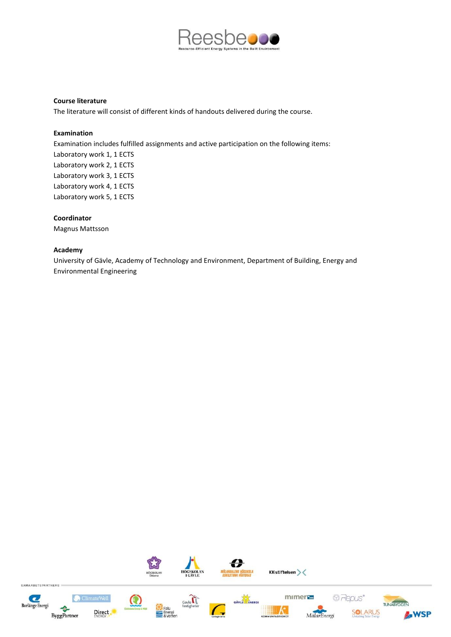

#### **Course literature**

The literature will consist of different kinds of handouts delivered during the course.

#### **Examination**

Examination includes fulfilled assignments and active participation on the following items: Laboratory work 1, 1 ECTS Laboratory work 2, 1 ECTS Laboratory work 3, 1 ECTS Laboratory work 4, 1 ECTS Laboratory work 5, 1 ECTS

#### **Coordinator**

Magnus Mattsson

#### **Academy**

University of Gävle, Academy of Technology and Environment, Department of Building, Energy and Environmental Engineering

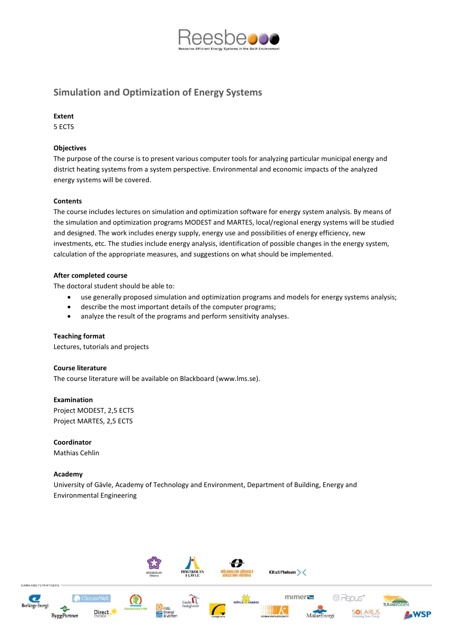

# **Simulation and Optimization of Energy Systems**

#### **Extent**

5 ECTS

# **Objectives**

The purpose of the course is to present various computer tools for analyzing particular municipal energy and district heating systems from a system perspective. Environmental and economic impacts of the analyzed energy systems will be covered.

# **Contents**

The course includes lectures on simulation and optimization software for energy system analysis. By means of the simulation and optimization programs MODEST and MARTES, local/regional energy systems will be studied and designed. The work includes energy supply, energy use and possibilities of energy efficiency, new investments, etc. The studies include energy analysis, identification of possible changes in the energy system, calculation of the appropriate measures, and suggestions on what should be implemented.

# **After completed course**

The doctoral student should be able to:

- use generally proposed simulation and optimization programs and models for energy systems analysis;
- describe the most important details of the computer programs;
- analyze the result of the programs and perform sensitivity analyses.

#### **Teaching format**

Lectures, tutorials and projects

#### **Course literature**

The course literature will be available on Blackboard [\(www.lms.se\)](http://www.lms.se/).

#### **Examination**

Project MODEST, 2,5 ECTS Project MARTES, 2,5 ECTS

**Coordinator** Mathias Cehlin

#### **Academy**

University of Gävle, Academy of Technology and Environment, Department of Building, Energy and Environmental Engineering

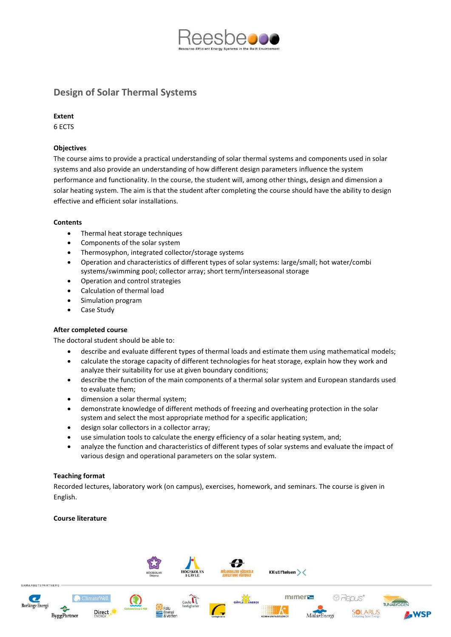

# **Design of Solar Thermal Systems**

# **Extent**

6 ECTS

# **Objectives**

The course aims to provide a practical understanding of solar thermal systems and components used in solar systems and also provide an understanding of how different design parameters influence the system performance and functionality. In the course, the student will, among other things, design and dimension a solar heating system. The aim is that the student after completing the course should have the ability to design effective and efficient solar installations.

# **Contents**

- Thermal heat storage techniques
- Components of the solar system
- Thermosyphon, integrated collector/storage systems
- Operation and characteristics of different types of solar systems: large/small; hot water/combi systems/swimming pool; collector array; short term/interseasonal storage
- Operation and control strategies
- Calculation of thermal load
- Simulation program
- Case Study

#### **After completed course**

The doctoral student should be able to:

- describe and evaluate different types of thermal loads and estimate them using mathematical models;
- calculate the storage capacity of different technologies for heat storage, explain how they work and analyze their suitability for use at given boundary conditions;
- describe the function of the main components of a thermal solar system and European standards used to evaluate them;
- dimension a solar thermal system;
- demonstrate knowledge of different methods of freezing and overheating protection in the solar system and select the most appropriate method for a specific application;
- design solar collectors in a collector array;
- use simulation tools to calculate the energy efficiency of a solar heating system, and;
- analyze the function and characteristics of different types of solar systems and evaluate the impact of various design and operational parameters on the solar system.

# **Teaching format**

Recorded lectures, laboratory work (on campus), exercises, homework, and seminars. The course is given in English.

#### **Course literature**

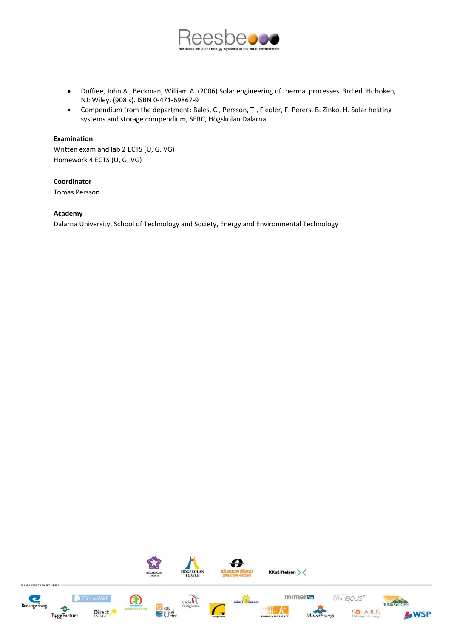

- Duffiee, John A., Beckman, William A. (2006) Solar engineering of thermal processes. 3rd ed. Hoboken, NJ: Wiley. (908 s). ISBN 0-471-69867-9
- Compendium from the department: Bales, C., Persson, T., Fiedler, F. Perers, B. Zinko, H. Solar heating systems and storage compendium, SERC, Högskolan Dalarna

#### **Examination**

Written exam and lab 2 ECTS (U, G, VG) Homework 4 ECTS (U, G, VG)

# **Coordinator**

Tomas Persson

#### **Academy**

Dalarna University, School of Technology and Society, Energy and Environmental Technology

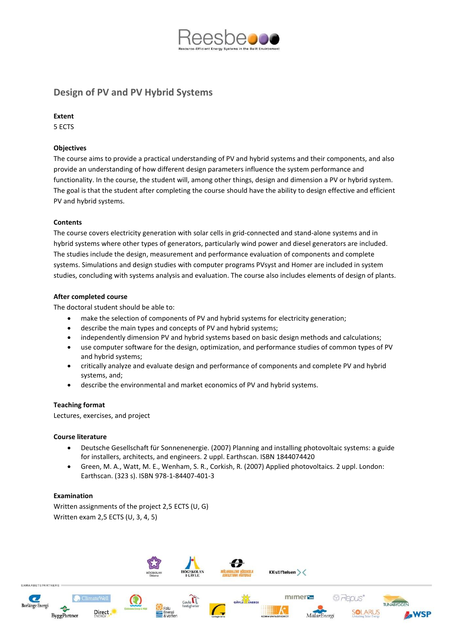

# **Design of PV and PV Hybrid Systems**

### **Extent**

5 ECTS

# **Objectives**

The course aims to provide a practical understanding of PV and hybrid systems and their components, and also provide an understanding of how different design parameters influence the system performance and functionality. In the course, the student will, among other things, design and dimension a PV or hybrid system. The goal is that the student after completing the course should have the ability to design effective and efficient PV and hybrid systems.

# **Contents**

The course covers electricity generation with solar cells in grid-connected and stand-alone systems and in hybrid systems where other types of generators, particularly wind power and diesel generators are included. The studies include the design, measurement and performance evaluation of components and complete systems. Simulations and design studies with computer programs PVsyst and Homer are included in system studies, concluding with systems analysis and evaluation. The course also includes elements of design of plants.

# **After completed course**

The doctoral student should be able to:

- make the selection of components of PV and hybrid systems for electricity generation;
- describe the main types and concepts of PV and hybrid systems;
- independently dimension PV and hybrid systems based on basic design methods and calculations;
- use computer software for the design, optimization, and performance studies of common types of PV and hybrid systems;
- critically analyze and evaluate design and performance of components and complete PV and hybrid systems, and;
- describe the environmental and market economics of PV and hybrid systems.

#### **Teaching format**

Lectures, exercises, and project

#### **Course literature**

- Deutsche Gesellschaft für Sonnenenergie. (2007) Planning and installing photovoltaic systems: a guide for installers, architects, and engineers. 2 uppl. Earthscan. ISBN 1844074420
- Green, M. A., Watt, M. E., Wenham, S. R., Corkish, R. (2007) Applied photovoltaics. 2 uppl. London: Earthscan. (323 s). ISBN 978-1-84407-401-3

## **Examination**

Written assignments of the project 2,5 ECTS (U, G) Written exam 2,5 ECTS (U, 3, 4, 5)

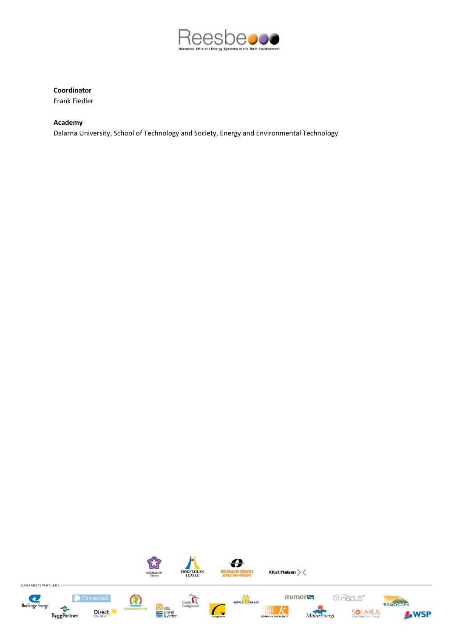

# **Coordinator**

Frank Fiedler

# **Academy**

Dalarna University, School of Technology and Society, Energy and Environmental Technology

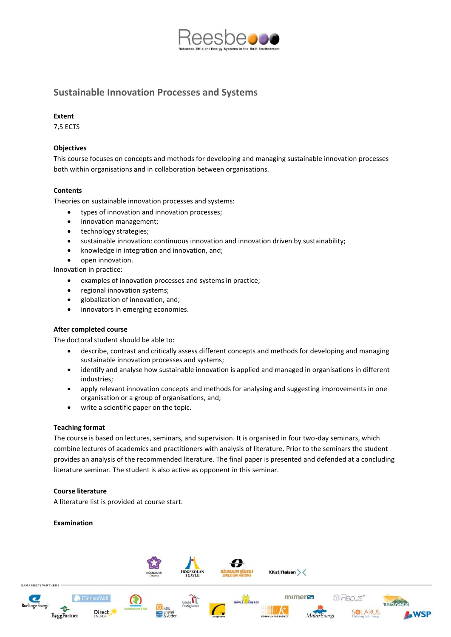

# **Sustainable Innovation Processes and Systems**

#### **Extent**

7,5 ECTS

# **Objectives**

This course focuses on concepts and methods for developing and managing sustainable innovation processes both within organisations and in collaboration between organisations.

# **Contents**

Theories on sustainable innovation processes and systems:

- types of innovation and innovation processes;
- innovation management;
- technology strategies;
- sustainable innovation: continuous innovation and innovation driven by sustainability;
- knowledge in integration and innovation, and;
- open innovation.

Innovation in practice:

- examples of innovation processes and systems in practice;
- regional innovation systems;
- globalization of innovation, and;
- innovators in emerging economies.

# **After completed course**

The doctoral student should be able to:

- describe, contrast and critically assess different concepts and methods for developing and managing sustainable innovation processes and systems;
- identify and analyse how sustainable innovation is applied and managed in organisations in different industries;
- apply relevant innovation concepts and methods for analysing and suggesting improvements in one organisation or a group of organisations, and;
- write a scientific paper on the topic.

### **Teaching format**

The course is based on lectures, seminars, and supervision. It is organised in four two-day seminars, which combine lectures of academics and practitioners with analysis of literature. Prior to the seminars the student provides an analysis of the recommended literature. The final paper is presented and defended at a concluding literature seminar. The student is also active as opponent in this seminar.

#### **Course literature**

A literature list is provided at course start.

#### **Examination**

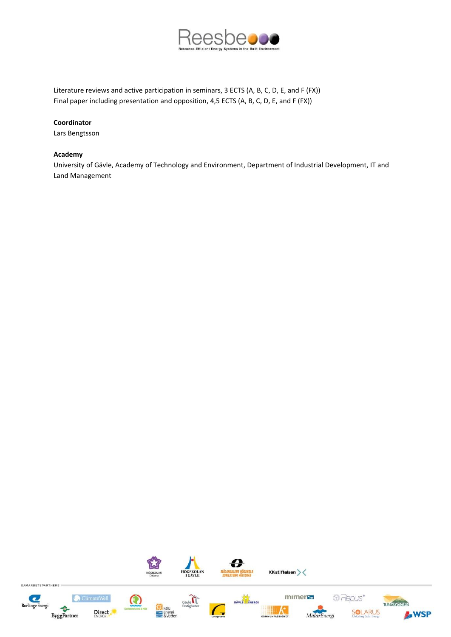

Literature reviews and active participation in seminars, 3 ECTS (A, B, C, D, E, and F (FX)) Final paper including presentation and opposition, 4,5 ECTS (A, B, C, D, E, and F (FX))

# **Coordinator**

Lars Bengtsson

#### **Academy**

University of Gävle, Academy of Technology and Environment, Department of Industrial Development, IT and Land Management